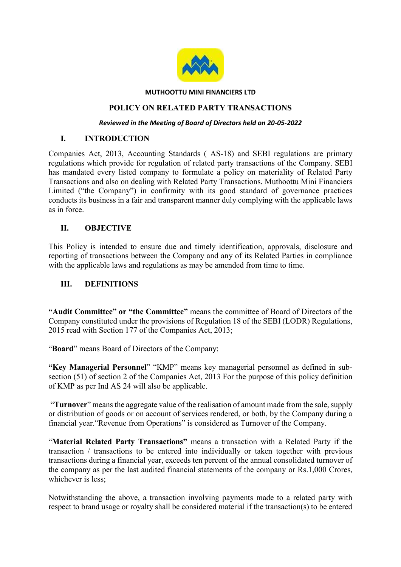

#### MUTHOOTTU MINI FINANCIERS LTD

#### POLICY ON RELATED PARTY TRANSACTIONS

#### Reviewed in the Meeting of Board of Directors held on 20-05-2022

#### I. INTRODUCTION

Companies Act, 2013, Accounting Standards ( AS-18) and SEBI regulations are primary regulations which provide for regulation of related party transactions of the Company. SEBI has mandated every listed company to formulate a policy on materiality of Related Party Transactions and also on dealing with Related Party Transactions. Muthoottu Mini Financiers Limited ("the Company") in confirmity with its good standard of governance practices conducts its business in a fair and transparent manner duly complying with the applicable laws as in force.

### II. OBJECTIVE

This Policy is intended to ensure due and timely identification, approvals, disclosure and reporting of transactions between the Company and any of its Related Parties in compliance with the applicable laws and regulations as may be amended from time to time.

#### III. DEFINITIONS

"Audit Committee" or "the Committee" means the committee of Board of Directors of the Company constituted under the provisions of Regulation 18 of the SEBI (LODR) Regulations, 2015 read with Section 177 of the Companies Act, 2013;

"Board" means Board of Directors of the Company;

"Key Managerial Personnel" "KMP" means key managerial personnel as defined in subsection (51) of section 2 of the Companies Act, 2013 For the purpose of this policy definition of KMP as per Ind AS 24 will also be applicable.

 "Turnover" means the aggregate value of the realisation of amount made from the sale, supply or distribution of goods or on account of services rendered, or both, by the Company during a financial year."Revenue from Operations" is considered as Turnover of the Company.

"Material Related Party Transactions" means a transaction with a Related Party if the transaction / transactions to be entered into individually or taken together with previous transactions during a financial year, exceeds ten percent of the annual consolidated turnover of the company as per the last audited financial statements of the company or Rs.1,000 Crores, whichever is less;

Notwithstanding the above, a transaction involving payments made to a related party with respect to brand usage or royalty shall be considered material if the transaction(s) to be entered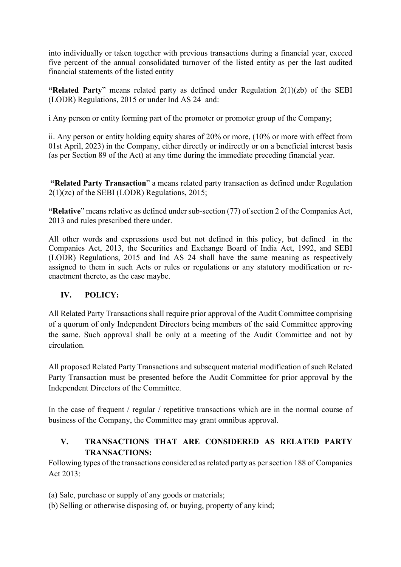into individually or taken together with previous transactions during a financial year, exceed five percent of the annual consolidated turnover of the listed entity as per the last audited financial statements of the listed entity

"Related Party" means related party as defined under Regulation  $2(1)(zb)$  of the SEBI (LODR) Regulations, 2015 or under Ind AS 24 and:

i Any person or entity forming part of the promoter or promoter group of the Company;

ii. Any person or entity holding equity shares of 20% or more, (10% or more with effect from 01st April, 2023) in the Company, either directly or indirectly or on a beneficial interest basis (as per Section 89 of the Act) at any time during the immediate preceding financial year.

 "Related Party Transaction" a means related party transaction as defined under Regulation 2(1)(zc) of the SEBI (LODR) Regulations, 2015;

"Relative" means relative as defined under sub-section (77) of section 2 of the Companies Act, 2013 and rules prescribed there under.

All other words and expressions used but not defined in this policy, but defined in the Companies Act, 2013, the Securities and Exchange Board of India Act, 1992, and SEBI (LODR) Regulations, 2015 and Ind AS 24 shall have the same meaning as respectively assigned to them in such Acts or rules or regulations or any statutory modification or reenactment thereto, as the case maybe.

## IV. POLICY:

All Related Party Transactions shall require prior approval of the Audit Committee comprising of a quorum of only Independent Directors being members of the said Committee approving the same. Such approval shall be only at a meeting of the Audit Committee and not by circulation.

All proposed Related Party Transactions and subsequent material modification of such Related Party Transaction must be presented before the Audit Committee for prior approval by the Independent Directors of the Committee.

In the case of frequent / regular / repetitive transactions which are in the normal course of business of the Company, the Committee may grant omnibus approval.

## V. TRANSACTIONS THAT ARE CONSIDERED AS RELATED PARTY TRANSACTIONS:

Following types of the transactions considered as related party as per section 188 of Companies Act 2013:

- (a) Sale, purchase or supply of any goods or materials;
- (b) Selling or otherwise disposing of, or buying, property of any kind;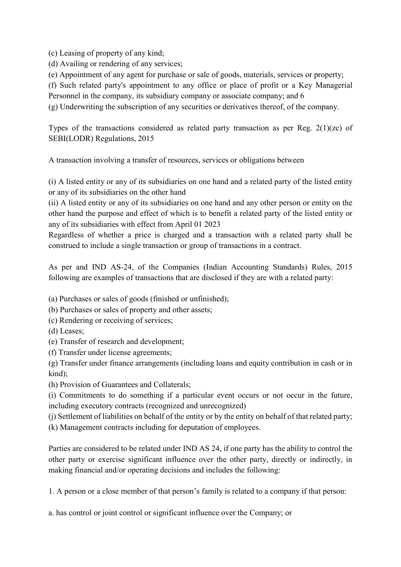(c) Leasing of property of any kind;

(d) Availing or rendering of any services;

(e) Appointment of any agent for purchase or sale of goods, materials, services or property;

(f) Such related party's appointment to any office or place of profit or a Key Managerial

Personnel in the company, its subsidiary company or associate company; and 6

(g) Underwriting the subscription of any securities or derivatives thereof, of the company.

Types of the transactions considered as related party transaction as per Reg. 2(1)(zc) of SEBI(LODR) Regulations, 2015

A transaction involving a transfer of resources, services or obligations between

(i) A listed entity or any of its subsidiaries on one hand and a related party of the listed entity or any of its subsidiaries on the other hand

(ii) A listed entity or any of its subsidiaries on one hand and any other person or entity on the other hand the purpose and effect of which is to benefit a related party of the listed entity or any of its subsidiaries with effect from April 01 2023

Regardless of whether a price is charged and a transaction with a related party shall be construed to include a single transaction or group of transactions in a contract.

As per and IND AS-24, of the Companies (Indian Accounting Standards) Rules, 2015 following are examples of transactions that are disclosed if they are with a related party:

(a) Purchases or sales of goods (finished or unfinished);

(b) Purchases or sales of property and other assets;

- (c) Rendering or receiving of services;
- (d) Leases;
- (e) Transfer of research and development;
- (f) Transfer under license agreements;

(g) Transfer under finance arrangements (including loans and equity contribution in cash or in kind);

(h) Provision of Guarantees and Collaterals;

(i) Commitments to do something if a particular event occurs or not occur in the future, including executory contracts (recognized and unrecognized)

(j) Settlement of liabilities on behalf of the entity or by the entity on behalf of that related party; (k) Management contracts including for deputation of employees.

Parties are considered to be related under IND AS 24, if one party has the ability to control the other party or exercise significant influence over the other party, directly or indirectly, in making financial and/or operating decisions and includes the following:

1. A person or a close member of that person's family is related to a company if that person:

a. has control or joint control or significant influence over the Company; or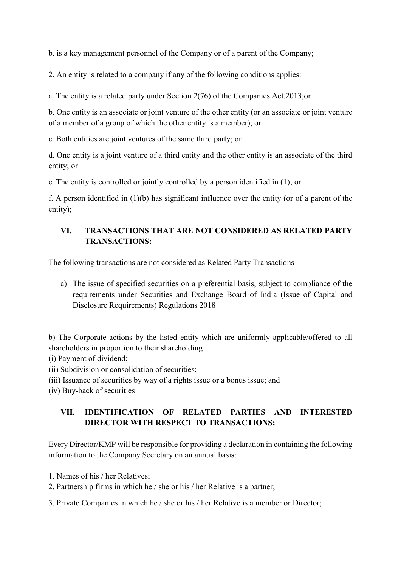b. is a key management personnel of the Company or of a parent of the Company;

2. An entity is related to a company if any of the following conditions applies:

a. The entity is a related party under Section 2(76) of the Companies Act,2013;or

b. One entity is an associate or joint venture of the other entity (or an associate or joint venture of a member of a group of which the other entity is a member); or

c. Both entities are joint ventures of the same third party; or

d. One entity is a joint venture of a third entity and the other entity is an associate of the third entity; or

e. The entity is controlled or jointly controlled by a person identified in (1); or

f. A person identified in (1)(b) has significant influence over the entity (or of a parent of the entity);

## VI. TRANSACTIONS THAT ARE NOT CONSIDERED AS RELATED PARTY TRANSACTIONS:

The following transactions are not considered as Related Party Transactions

a) The issue of specified securities on a preferential basis, subject to compliance of the requirements under Securities and Exchange Board of India (Issue of Capital and Disclosure Requirements) Regulations 2018

b) The Corporate actions by the listed entity which are uniformly applicable/offered to all shareholders in proportion to their shareholding

(i) Payment of dividend;

- (ii) Subdivision or consolidation of securities;
- (iii) Issuance of securities by way of a rights issue or a bonus issue; and

(iv) Buy-back of securities

## VII. IDENTIFICATION OF RELATED PARTIES AND INTERESTED DIRECTOR WITH RESPECT TO TRANSACTIONS:

Every Director/KMP will be responsible for providing a declaration in containing the following information to the Company Secretary on an annual basis:

- 1. Names of his / her Relatives;
- 2. Partnership firms in which he / she or his / her Relative is a partner;
- 3. Private Companies in which he / she or his / her Relative is a member or Director;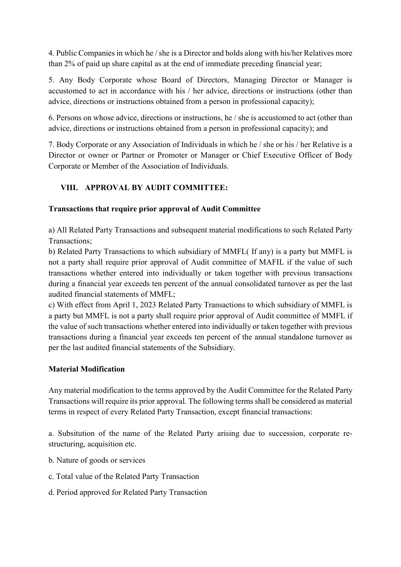4. Public Companies in which he / she is a Director and holds along with his/her Relatives more than 2% of paid up share capital as at the end of immediate preceding financial year;

5. Any Body Corporate whose Board of Directors, Managing Director or Manager is accustomed to act in accordance with his / her advice, directions or instructions (other than advice, directions or instructions obtained from a person in professional capacity);

6. Persons on whose advice, directions or instructions, he / she is accustomed to act (other than advice, directions or instructions obtained from a person in professional capacity); and

7. Body Corporate or any Association of Individuals in which he / she or his / her Relative is a Director or owner or Partner or Promoter or Manager or Chief Executive Officer of Body Corporate or Member of the Association of Individuals.

# VIII. APPROVAL BY AUDIT COMMITTEE:

## Transactions that require prior approval of Audit Committee

a) All Related Party Transactions and subsequent material modifications to such Related Party Transactions;

b) Related Party Transactions to which subsidiary of MMFL( If any) is a party but MMFL is not a party shall require prior approval of Audit committee of MAFIL if the value of such transactions whether entered into individually or taken together with previous transactions during a financial year exceeds ten percent of the annual consolidated turnover as per the last audited financial statements of MMFL;

c) With effect from April 1, 2023 Related Party Transactions to which subsidiary of MMFL is a party but MMFL is not a party shall require prior approval of Audit committee of MMFL if the value of such transactions whether entered into individually or taken together with previous transactions during a financial year exceeds ten percent of the annual standalone turnover as per the last audited financial statements of the Subsidiary.

## Material Modification

Any material modification to the terms approved by the Audit Committee for the Related Party Transactions will require its prior approval. The following terms shall be considered as material terms in respect of every Related Party Transaction, except financial transactions:

a. Subsitution of the name of the Related Party arising due to succession, corporate restructuring, acquisition etc.

- b. Nature of goods or services
- c. Total value of the Related Party Transaction
- d. Period approved for Related Party Transaction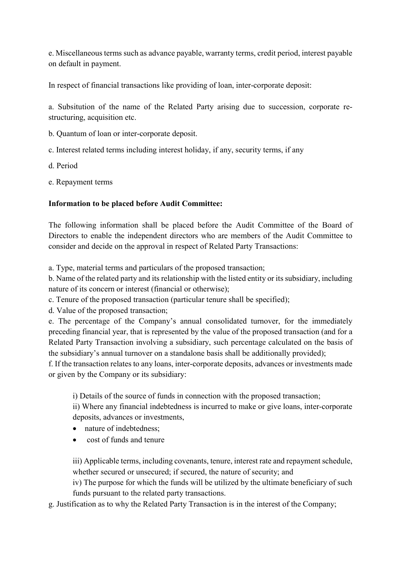e. Miscellaneous terms such as advance payable, warranty terms, credit period, interest payable on default in payment.

In respect of financial transactions like providing of loan, inter-corporate deposit:

a. Subsitution of the name of the Related Party arising due to succession, corporate restructuring, acquisition etc.

b. Quantum of loan or inter-corporate deposit.

c. Interest related terms including interest holiday, if any, security terms, if any

d. Period

e. Repayment terms

### Information to be placed before Audit Committee:

The following information shall be placed before the Audit Committee of the Board of Directors to enable the independent directors who are members of the Audit Committee to consider and decide on the approval in respect of Related Party Transactions:

a. Type, material terms and particulars of the proposed transaction;

b. Name of the related party and its relationship with the listed entity or its subsidiary, including nature of its concern or interest (financial or otherwise);

c. Tenure of the proposed transaction (particular tenure shall be specified);

d. Value of the proposed transaction;

e. The percentage of the Company's annual consolidated turnover, for the immediately preceding financial year, that is represented by the value of the proposed transaction (and for a Related Party Transaction involving a subsidiary, such percentage calculated on the basis of the subsidiary's annual turnover on a standalone basis shall be additionally provided);

f. If the transaction relates to any loans, inter-corporate deposits, advances or investments made or given by the Company or its subsidiary:

i) Details of the source of funds in connection with the proposed transaction;

ii) Where any financial indebtedness is incurred to make or give loans, inter-corporate deposits, advances or investments,

- nature of indebtedness:
- cost of funds and tenure

iii) Applicable terms, including covenants, tenure, interest rate and repayment schedule, whether secured or unsecured; if secured, the nature of security; and

iv) The purpose for which the funds will be utilized by the ultimate beneficiary of such funds pursuant to the related party transactions.

g. Justification as to why the Related Party Transaction is in the interest of the Company;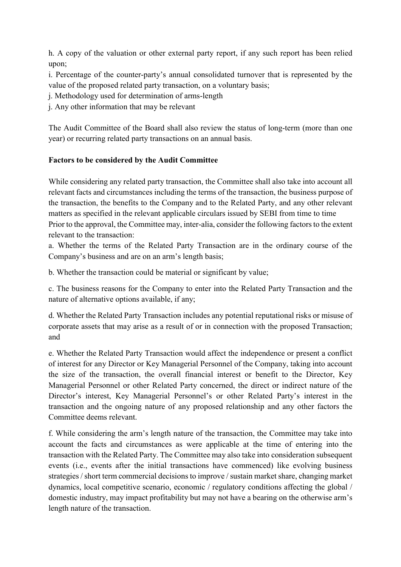h. A copy of the valuation or other external party report, if any such report has been relied upon;

i. Percentage of the counter-party's annual consolidated turnover that is represented by the value of the proposed related party transaction, on a voluntary basis;

j. Methodology used for determination of arms-length

j. Any other information that may be relevant

The Audit Committee of the Board shall also review the status of long-term (more than one year) or recurring related party transactions on an annual basis.

### Factors to be considered by the Audit Committee

While considering any related party transaction, the Committee shall also take into account all relevant facts and circumstances including the terms of the transaction, the business purpose of the transaction, the benefits to the Company and to the Related Party, and any other relevant matters as specified in the relevant applicable circulars issued by SEBI from time to time Prior to the approval, the Committee may, inter-alia, consider the following factors to the extent relevant to the transaction:

a. Whether the terms of the Related Party Transaction are in the ordinary course of the Company's business and are on an arm's length basis;

b. Whether the transaction could be material or significant by value;

c. The business reasons for the Company to enter into the Related Party Transaction and the nature of alternative options available, if any;

d. Whether the Related Party Transaction includes any potential reputational risks or misuse of corporate assets that may arise as a result of or in connection with the proposed Transaction; and

e. Whether the Related Party Transaction would affect the independence or present a conflict of interest for any Director or Key Managerial Personnel of the Company, taking into account the size of the transaction, the overall financial interest or benefit to the Director, Key Managerial Personnel or other Related Party concerned, the direct or indirect nature of the Director's interest, Key Managerial Personnel's or other Related Party's interest in the transaction and the ongoing nature of any proposed relationship and any other factors the Committee deems relevant.

f. While considering the arm's length nature of the transaction, the Committee may take into account the facts and circumstances as were applicable at the time of entering into the transaction with the Related Party. The Committee may also take into consideration subsequent events (i.e., events after the initial transactions have commenced) like evolving business strategies / short term commercial decisions to improve / sustain market share, changing market dynamics, local competitive scenario, economic / regulatory conditions affecting the global / domestic industry, may impact profitability but may not have a bearing on the otherwise arm's length nature of the transaction.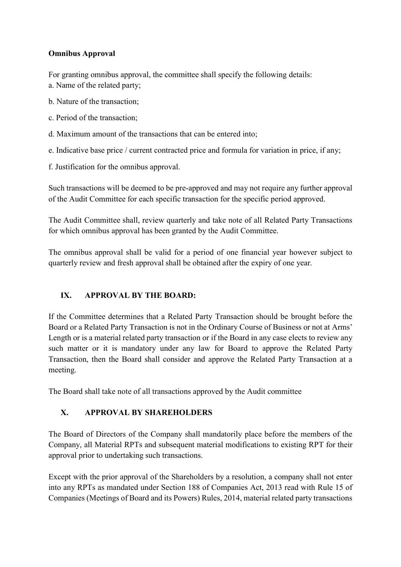### Omnibus Approval

For granting omnibus approval, the committee shall specify the following details:

- a. Name of the related party;
- b. Nature of the transaction;
- c. Period of the transaction;
- d. Maximum amount of the transactions that can be entered into;
- e. Indicative base price / current contracted price and formula for variation in price, if any;
- f. Justification for the omnibus approval.

Such transactions will be deemed to be pre-approved and may not require any further approval of the Audit Committee for each specific transaction for the specific period approved.

The Audit Committee shall, review quarterly and take note of all Related Party Transactions for which omnibus approval has been granted by the Audit Committee.

The omnibus approval shall be valid for a period of one financial year however subject to quarterly review and fresh approval shall be obtained after the expiry of one year.

## IX. APPROVAL BY THE BOARD:

If the Committee determines that a Related Party Transaction should be brought before the Board or a Related Party Transaction is not in the Ordinary Course of Business or not at Arms' Length or is a material related party transaction or if the Board in any case elects to review any such matter or it is mandatory under any law for Board to approve the Related Party Transaction, then the Board shall consider and approve the Related Party Transaction at a meeting.

The Board shall take note of all transactions approved by the Audit committee

# X. APPROVAL BY SHAREHOLDERS

The Board of Directors of the Company shall mandatorily place before the members of the Company, all Material RPTs and subsequent material modifications to existing RPT for their approval prior to undertaking such transactions.

Except with the prior approval of the Shareholders by a resolution, a company shall not enter into any RPTs as mandated under Section 188 of Companies Act, 2013 read with Rule 15 of Companies (Meetings of Board and its Powers) Rules, 2014, material related party transactions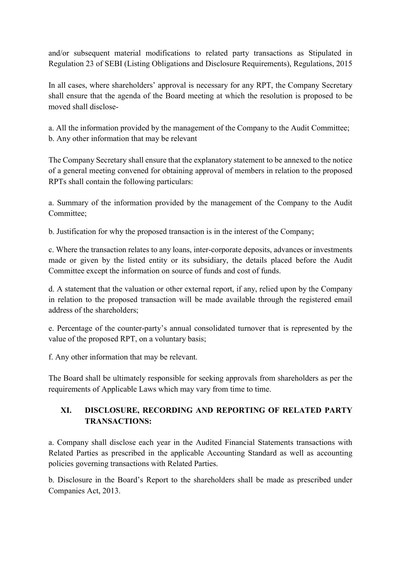and/or subsequent material modifications to related party transactions as Stipulated in Regulation 23 of SEBI (Listing Obligations and Disclosure Requirements), Regulations, 2015

In all cases, where shareholders' approval is necessary for any RPT, the Company Secretary shall ensure that the agenda of the Board meeting at which the resolution is proposed to be moved shall disclose-

a. All the information provided by the management of the Company to the Audit Committee; b. Any other information that may be relevant

The Company Secretary shall ensure that the explanatory statement to be annexed to the notice of a general meeting convened for obtaining approval of members in relation to the proposed RPTs shall contain the following particulars:

a. Summary of the information provided by the management of the Company to the Audit Committee;

b. Justification for why the proposed transaction is in the interest of the Company;

c. Where the transaction relates to any loans, inter-corporate deposits, advances or investments made or given by the listed entity or its subsidiary, the details placed before the Audit Committee except the information on source of funds and cost of funds.

d. A statement that the valuation or other external report, if any, relied upon by the Company in relation to the proposed transaction will be made available through the registered email address of the shareholders;

e. Percentage of the counter-party's annual consolidated turnover that is represented by the value of the proposed RPT, on a voluntary basis;

f. Any other information that may be relevant.

The Board shall be ultimately responsible for seeking approvals from shareholders as per the requirements of Applicable Laws which may vary from time to time.

## XI. DISCLOSURE, RECORDING AND REPORTING OF RELATED PARTY TRANSACTIONS:

a. Company shall disclose each year in the Audited Financial Statements transactions with Related Parties as prescribed in the applicable Accounting Standard as well as accounting policies governing transactions with Related Parties.

b. Disclosure in the Board's Report to the shareholders shall be made as prescribed under Companies Act, 2013.